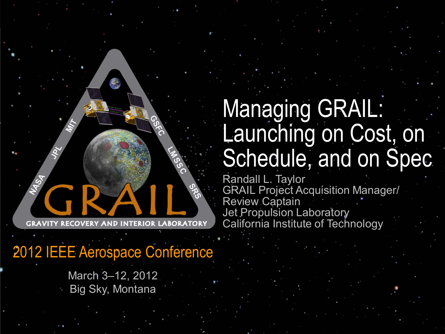2012 IEEE Aerospace Conference

March 3–12, 2012 Big Sky, Montana

# Managing GRAIL: Launching on Cost, on Schedule, and on Spec

Randall L. Taylor GRAIL Project Acquisition Manager/ Review Captain Jet Propulsion Laboratory California Institute of Technology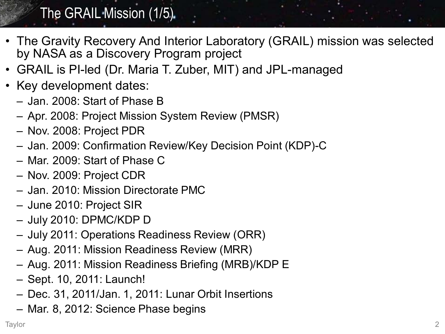## The GRAIL Mission (1/5)

- The Gravity Recovery And Interior Laboratory (GRAIL) mission was selected by NASA as a Discovery Program project
- GRAIL is PI-led (Dr. Maria T. Zuber, MIT) and JPL-managed
- Key development dates:
	- Jan. 2008: Start of Phase B
	- Apr. 2008: Project Mission System Review (PMSR)
	- Nov. 2008: Project PDR
	- Jan. 2009: Confirmation Review/Key Decision Point (KDP)-C
	- Mar. 2009: Start of Phase C
	- Nov. 2009: Project CDR
	- Jan. 2010: Mission Directorate PMC
	- June 2010: Project SIR
	- July 2010: DPMC/KDP D
	- July 2011: Operations Readiness Review (ORR)
	- Aug. 2011: Mission Readiness Review (MRR)
	- Aug. 2011: Mission Readiness Briefing (MRB)/KDP E
	- Sept. 10, 2011: Launch!
	- Dec. 31, 2011/Jan. 1, 2011: Lunar Orbit Insertions
	- Mar. 8, 2012: Science Phase begins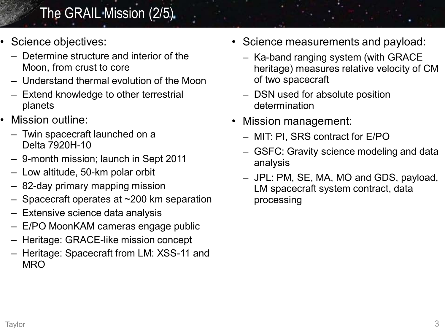## The GRAIL Mission (2/5)

- Science objectives:
	- Determine structure and interior of the Moon, from crust to core
	- Understand thermal evolution of the Moon
	- Extend knowledge to other terrestrial planets
- Mission outline:
	- Twin spacecraft launched on a Delta 7920H-10
	- 9-month mission; launch in Sept 2011
	- Low altitude, 50-km polar orbit
	- 82-day primary mapping mission
	- Spacecraft operates at ~200 km separation
	- Extensive science data analysis
	- E/PO MoonKAM cameras engage public
	- Heritage: GRACE-like mission concept
	- Heritage: Spacecraft from LM: XSS-11 and **MRO**
- Science measurements and payload:
	- Ka-band ranging system (with GRACE heritage) measures relative velocity of CM of two spacecraft
	- DSN used for absolute position determination
- Mission management:
	- MIT: PI, SRS contract for E/PO
	- GSFC: Gravity science modeling and data analysis
	- JPL: PM, SE, MA, MO and GDS, payload, LM spacecraft system contract, data processing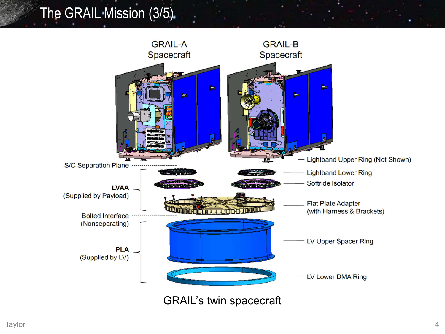## The GRAIL Mission (3/5)

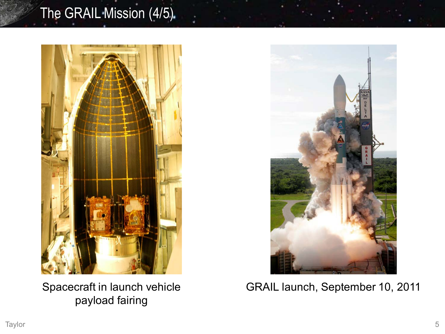## The GRAIL Mission (4/5)



Spacecraft in launch vehicle payload fairing



GRAIL launch, September 10, 2011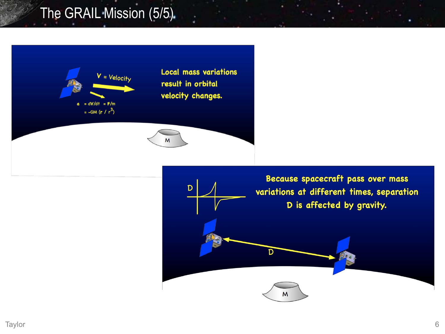## The GRAIL Mission (5/5)



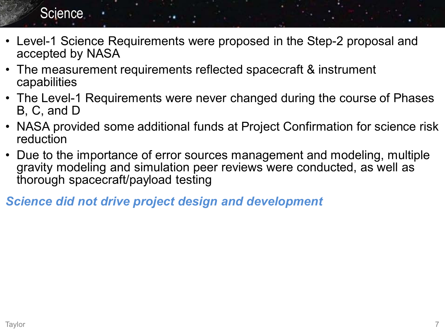#### **Science**

- Level-1 Science Requirements were proposed in the Step-2 proposal and accepted by NASA
- The measurement requirements reflected spacecraft & instrument capabilities
- The Level-1 Requirements were never changed during the course of Phases B, C, and D
- NASA provided some additional funds at Project Confirmation for science risk reduction
- Due to the importance of error sources management and modeling, multiple gravity modeling and simulation peer reviews were conducted, as well as thorough spacecraft/payload testing

*Science did not drive project design and development*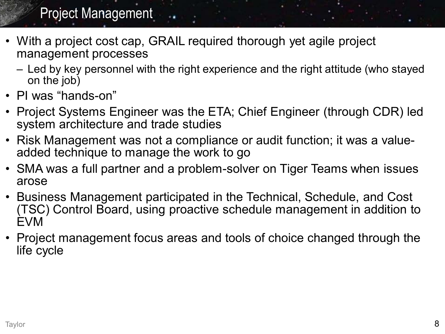#### Project Management

- With a project cost cap, GRAIL required thorough yet agile project management processes
	- Led by key personnel with the right experience and the right attitude (who stayed on the job)
- PI was "hands-on"
- Project Systems Engineer was the ETA; Chief Engineer (through CDR) led system architecture and trade studies
- Risk Management was not a compliance or audit function; it was a valueadded technique to manage the work to go
- SMA was a full partner and a problem-solver on Tiger Teams when issues arose
- Business Management participated in the Technical, Schedule, and Cost (TSC) Control Board, using proactive schedule management in addition to EVM
- Project management focus areas and tools of choice changed through the life cycle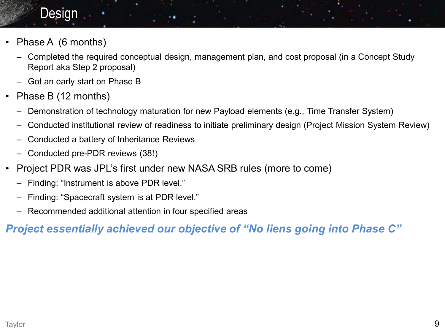#### Design

- Phase A (6 months)
	- Completed the required conceptual design, management plan, and cost proposal (in a Concept Study Report aka Step 2 proposal)
	- Got an early start on Phase B
- Phase B (12 months)
	- Demonstration of technology maturation for new Payload elements (e.g., Time Transfer System)
	- Conducted institutional review of readiness to initiate preliminary design (Project Mission System Review)
	- Conducted a battery of Inheritance Reviews
	- Conducted pre-PDR reviews (38!)
- Project PDR was JPL's first under new NASA SRB rules (more to come)
	- Finding: "Instrument is above PDR level."
	- Finding: "Spacecraft system is at PDR level."
	- Recommended additional attention in four specified areas

#### *Project essentially achieved our objective of "No liens going into Phase C"*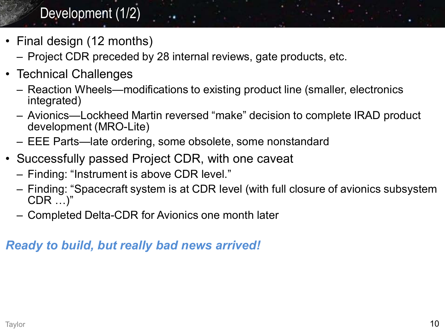## Development (1/2)

- Final design (12 months)
	- Project CDR preceded by 28 internal reviews, gate products, etc.
- Technical Challenges
	- Reaction Wheels—modifications to existing product line (smaller, electronics integrated)
	- Avionics—Lockheed Martin reversed "make" decision to complete IRAD product development (MRO-Lite)
	- EEE Parts—late ordering, some obsolete, some nonstandard
- Successfully passed Project CDR, with one caveat
	- Finding: "Instrument is above CDR level."
	- Finding: "Spacecraft system is at CDR level (with full closure of avionics subsystem CDR …)"
	- Completed Delta-CDR for Avionics one month later

#### *Ready to build, but really bad news arrived!*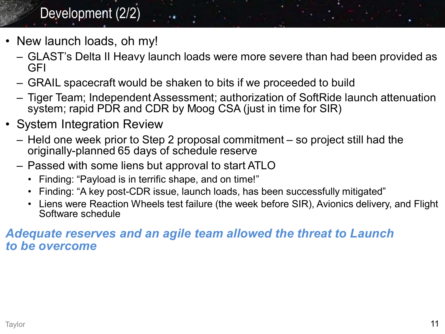## Development (2/2)

- New launch loads, oh my!
	- GLAST's Delta II Heavy launch loads were more severe than had been provided as GFI
	- GRAIL spacecraft would be shaken to bits if we proceeded to build
	- Tiger Team; Independent Assessment; authorization of SoftRide launch attenuation system; rapid PDR and CDR by Moog CSA (just in time for SIR)
- System Integration Review
	- Held one week prior to Step 2 proposal commitment so project still had the originally-planned 65 days of schedule reserve
	- Passed with some liens but approval to start ATLO
		- Finding: "Payload is in terrific shape, and on time!"
		- Finding: "A key post-CDR issue, launch loads, has been successfully mitigated"
		- Liens were Reaction Wheels test failure (the week before SIR), Avionics delivery, and Flight Software schedule

#### *Adequate reserves and an agile team allowed the threat to Launch to be overcome*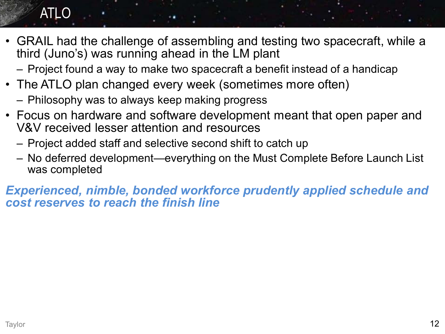## ATLO

- GRAIL had the challenge of assembling and testing two spacecraft, while a third (Juno's) was running ahead in the LM plant
	- Project found a way to make two spacecraft a benefit instead of a handicap
- The ATLO plan changed every week (sometimes more often)
	- Philosophy was to always keep making progress
- Focus on hardware and software development meant that open paper and V&V received lesser attention and resources
	- Project added staff and selective second shift to catch up
	- No deferred development—everything on the Must Complete Before Launch List was completed

*Experienced, nimble, bonded workforce prudently applied schedule and cost reserves to reach the finish line*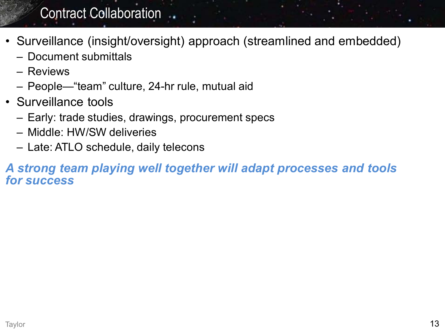### Contract Collaboration ...

- Surveillance (insight/oversight) approach (streamlined and embedded)
	- Document submittals
	- Reviews
	- People—"team" culture, 24-hr rule, mutual aid
- Surveillance tools
	- Early: trade studies, drawings, procurement specs
	- Middle: HW/SW deliveries
	- Late: ATLO schedule, daily telecons

#### *A strong team playing well together will adapt processes and tools for success*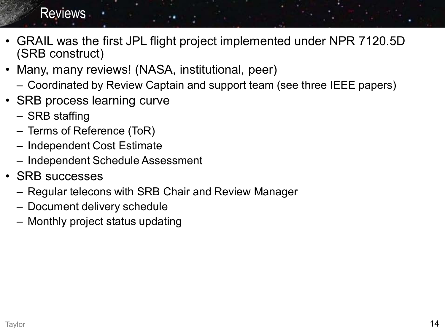#### **Reviews**

- GRAIL was the first JPL flight project implemented under NPR 7120.5D (SRB construct)
- Many, many reviews! (NASA, institutional, peer)
	- Coordinated by Review Captain and support team (see three IEEE papers)
- SRB process learning curve
	- SRB staffing
	- Terms of Reference (ToR)
	- Independent Cost Estimate
	- Independent Schedule Assessment
- SRB successes
	- Regular telecons with SRB Chair and Review Manager
	- Document delivery schedule
	- Monthly project status updating